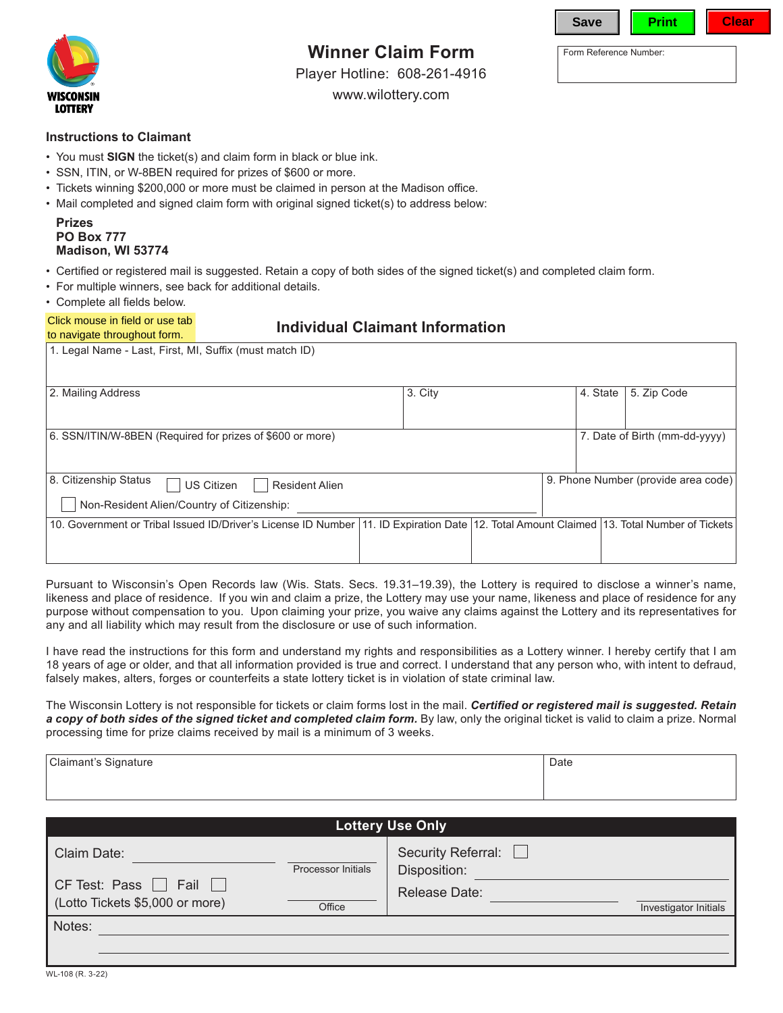

# **Winner Claim Form**

Player Hotline: 608-261-4916

www.wilottery.com

| <b>Save</b>            | Print | Clear |
|------------------------|-------|-------|
| Form Reference Number: |       |       |

#### **Instructions to Claimant**

- You must **SIGN** the ticket(s) and claim form in black or blue ink.
- SSN, ITIN, or W-8BEN required for prizes of \$600 or more.
- • Tickets winning \$200,000 or more must be claimed in person at the Madison office.
- Mail completed and signed claim form with original signed ticket(s) to address below:

| <b>Prizes</b>            |
|--------------------------|
| <b>PO Box 777</b>        |
| <b>Madison, WI 53774</b> |

- • Certified or registered mail is suggested. Retain a copy of both sides of the signed ticket(s) and completed claim form.
- For multiple winners, see back for additional details.
- • Complete all fields below.

#### Click mouse in field or use tab to navigate throughout form.

## **Individual Claimant Information**

| 1. Legal Name - Last, First, MI, Suffix (must match ID)                                                                                      |         |          |                                     |
|----------------------------------------------------------------------------------------------------------------------------------------------|---------|----------|-------------------------------------|
| 2. Mailing Address                                                                                                                           | 3. City | 4. State | 5. Zip Code                         |
| 6. SSN/ITIN/W-8BEN (Required for prizes of \$600 or more)                                                                                    |         |          | 7. Date of Birth (mm-dd-yyyy)       |
| 8. Citizenship Status<br><b>US Citizen</b><br><b>Resident Alien</b><br>Non-Resident Alien/Country of Citizenship:                            |         |          | 9. Phone Number (provide area code) |
| 10. Government or Tribal Issued ID/Driver's License ID Number  11. ID Expiration Date  12. Total Amount Claimed  13. Total Number of Tickets |         |          |                                     |

Pursuant to Wisconsin's Open Records law (Wis. Stats. Secs. 19.31–19.39), the Lottery is required to disclose a winner's name, likeness and place of residence. If you win and claim a prize, the Lottery may use your name, likeness and place of residence for any purpose without compensation to you. Upon claiming your prize, you waive any claims against the Lottery and its representatives for any and all liability which may result from the disclosure or use of such information.

I have read the instructions for this form and understand my rights and responsibilities as a Lottery winner. I hereby certify that I am 18 years of age or older, and that all information provided is true and correct. I understand that any person who, with intent to defraud, falsely makes, alters, forges or counterfeits a state lottery ticket is in violation of state criminal law.

The Wisconsin Lottery is not responsible for tickets or claim forms lost in the mail. *Certified or registered mail is suggested. Retain*  a copy of both sides of the signed ticket and completed claim form. By law, only the original ticket is valid to claim a prize. Normal processing time for prize claims received by mail is a minimum of 3 weeks.

| Claimant's<br>⊨Signature | Date |
|--------------------------|------|
| ັ                        |      |
|                          |      |
|                          |      |
|                          |      |

| <b>Lottery Use Only</b>                                                            |                    |                                                     |  |  |  |
|------------------------------------------------------------------------------------|--------------------|-----------------------------------------------------|--|--|--|
| Claim Date:<br>CF Test: Pass $\Box$ Fail $\Box$<br>(Lotto Tickets \$5,000 or more) | Processor Initials | Security Referral:<br>Disposition:<br>Release Date: |  |  |  |
|                                                                                    | Office             | Investigator Initials                               |  |  |  |
| Notes:                                                                             |                    |                                                     |  |  |  |
|                                                                                    |                    |                                                     |  |  |  |
|                                                                                    |                    |                                                     |  |  |  |